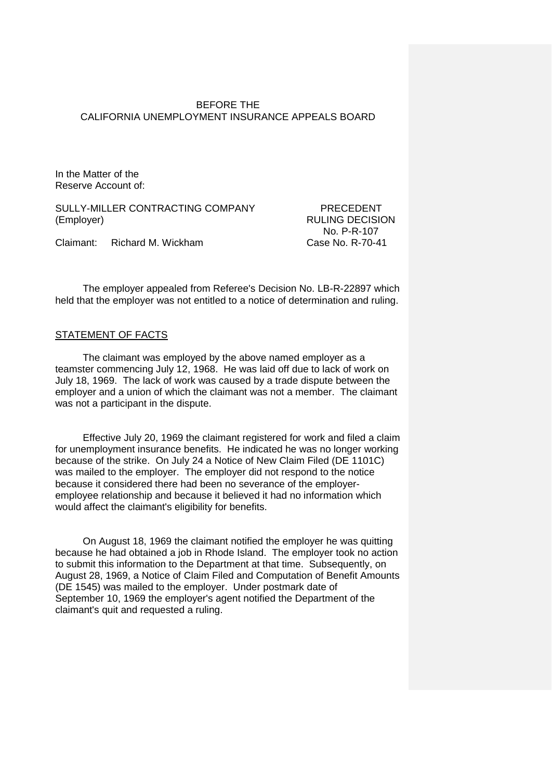### BEFORE THE CALIFORNIA UNEMPLOYMENT INSURANCE APPEALS BOARD

In the Matter of the Reserve Account of:

SULLY-MILLER CONTRACTING COMPANY PRECEDENT (Employer) RULING DECISION

No. P-R-107

Claimant: Richard M. Wickham Case No. R-70-41

The employer appealed from Referee's Decision No. LB-R-22897 which held that the employer was not entitled to a notice of determination and ruling.

### STATEMENT OF FACTS

The claimant was employed by the above named employer as a teamster commencing July 12, 1968. He was laid off due to lack of work on July 18, 1969. The lack of work was caused by a trade dispute between the employer and a union of which the claimant was not a member. The claimant was not a participant in the dispute.

Effective July 20, 1969 the claimant registered for work and filed a claim for unemployment insurance benefits. He indicated he was no longer working because of the strike. On July 24 a Notice of New Claim Filed (DE 1101C) was mailed to the employer. The employer did not respond to the notice because it considered there had been no severance of the employeremployee relationship and because it believed it had no information which would affect the claimant's eligibility for benefits.

On August 18, 1969 the claimant notified the employer he was quitting because he had obtained a job in Rhode Island. The employer took no action to submit this information to the Department at that time. Subsequently, on August 28, 1969, a Notice of Claim Filed and Computation of Benefit Amounts (DE 1545) was mailed to the employer. Under postmark date of September 10, 1969 the employer's agent notified the Department of the claimant's quit and requested a ruling.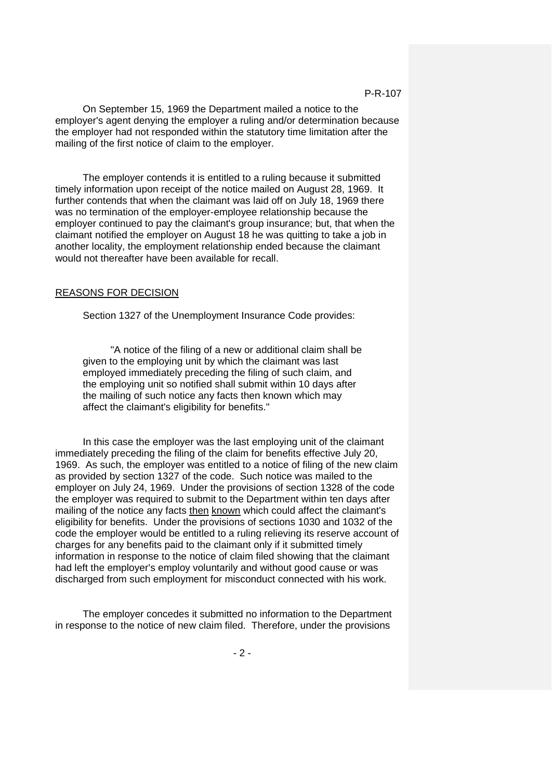#### P-R-107

On September 15, 1969 the Department mailed a notice to the employer's agent denying the employer a ruling and/or determination because the employer had not responded within the statutory time limitation after the mailing of the first notice of claim to the employer.

The employer contends it is entitled to a ruling because it submitted timely information upon receipt of the notice mailed on August 28, 1969. It further contends that when the claimant was laid off on July 18, 1969 there was no termination of the employer-employee relationship because the employer continued to pay the claimant's group insurance; but, that when the claimant notified the employer on August 18 he was quitting to take a job in another locality, the employment relationship ended because the claimant would not thereafter have been available for recall.

#### REASONS FOR DECISION

Section 1327 of the Unemployment Insurance Code provides:

"A notice of the filing of a new or additional claim shall be given to the employing unit by which the claimant was last employed immediately preceding the filing of such claim, and the employing unit so notified shall submit within 10 days after the mailing of such notice any facts then known which may affect the claimant's eligibility for benefits."

In this case the employer was the last employing unit of the claimant immediately preceding the filing of the claim for benefits effective July 20, 1969. As such, the employer was entitled to a notice of filing of the new claim as provided by section 1327 of the code. Such notice was mailed to the employer on July 24, 1969. Under the provisions of section 1328 of the code the employer was required to submit to the Department within ten days after mailing of the notice any facts then known which could affect the claimant's eligibility for benefits. Under the provisions of sections 1030 and 1032 of the code the employer would be entitled to a ruling relieving its reserve account of charges for any benefits paid to the claimant only if it submitted timely information in response to the notice of claim filed showing that the claimant had left the employer's employ voluntarily and without good cause or was discharged from such employment for misconduct connected with his work.

The employer concedes it submitted no information to the Department in response to the notice of new claim filed. Therefore, under the provisions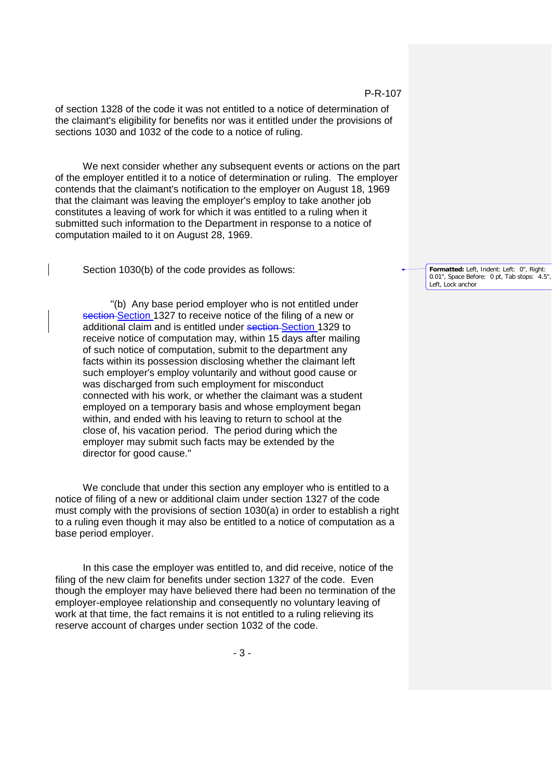of section 1328 of the code it was not entitled to a notice of determination of the claimant's eligibility for benefits nor was it entitled under the provisions of sections 1030 and 1032 of the code to a notice of ruling.

We next consider whether any subsequent events or actions on the part of the employer entitled it to a notice of determination or ruling. The employer contends that the claimant's notification to the employer on August 18, 1969 that the claimant was leaving the employer's employ to take another job constitutes a leaving of work for which it was entitled to a ruling when it submitted such information to the Department in response to a notice of computation mailed to it on August 28, 1969.

Section 1030(b) of the code provides as follows:

"(b) Any base period employer who is not entitled under section Section 1327 to receive notice of the filing of a new or additional claim and is entitled under section-Section 1329 to receive notice of computation may, within 15 days after mailing of such notice of computation, submit to the department any facts within its possession disclosing whether the claimant left such employer's employ voluntarily and without good cause or was discharged from such employment for misconduct connected with his work, or whether the claimant was a student employed on a temporary basis and whose employment began within, and ended with his leaving to return to school at the close of, his vacation period. The period during which the employer may submit such facts may be extended by the director for good cause."

We conclude that under this section any employer who is entitled to a notice of filing of a new or additional claim under section 1327 of the code must comply with the provisions of section 1030(a) in order to establish a right to a ruling even though it may also be entitled to a notice of computation as a base period employer.

In this case the employer was entitled to, and did receive, notice of the filing of the new claim for benefits under section 1327 of the code. Even though the employer may have believed there had been no termination of the employer-employee relationship and consequently no voluntary leaving of work at that time, the fact remains it is not entitled to a ruling relieving its reserve account of charges under section 1032 of the code.

### P-R-107

**Formatted:** Left, Indent: Left: 0", Right: 0.01", Space Before: 0 pt, Tab stops: 4.5" Left, Lock anchor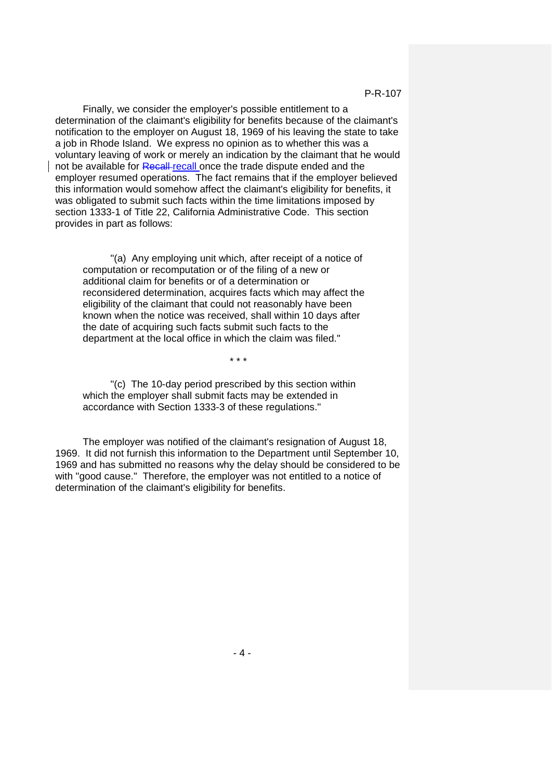Finally, we consider the employer's possible entitlement to a determination of the claimant's eligibility for benefits because of the claimant's notification to the employer on August 18, 1969 of his leaving the state to take a job in Rhode Island. We express no opinion as to whether this was a voluntary leaving of work or merely an indication by the claimant that he would not be available for Recall recall once the trade dispute ended and the employer resumed operations. The fact remains that if the employer believed this information would somehow affect the claimant's eligibility for benefits, it was obligated to submit such facts within the time limitations imposed by section 1333-1 of Title 22, California Administrative Code. This section provides in part as follows:

"(a) Any employing unit which, after receipt of a notice of computation or recomputation or of the filing of a new or additional claim for benefits or of a determination or reconsidered determination, acquires facts which may affect the eligibility of the claimant that could not reasonably have been known when the notice was received, shall within 10 days after the date of acquiring such facts submit such facts to the department at the local office in which the claim was filed."

\* \* \*

"(c) The 10-day period prescribed by this section within which the employer shall submit facts may be extended in accordance with Section 1333-3 of these regulations."

The employer was notified of the claimant's resignation of August 18, 1969. It did not furnish this information to the Department until September 10, 1969 and has submitted no reasons why the delay should be considered to be with "good cause." Therefore, the employer was not entitled to a notice of determination of the claimant's eligibility for benefits.